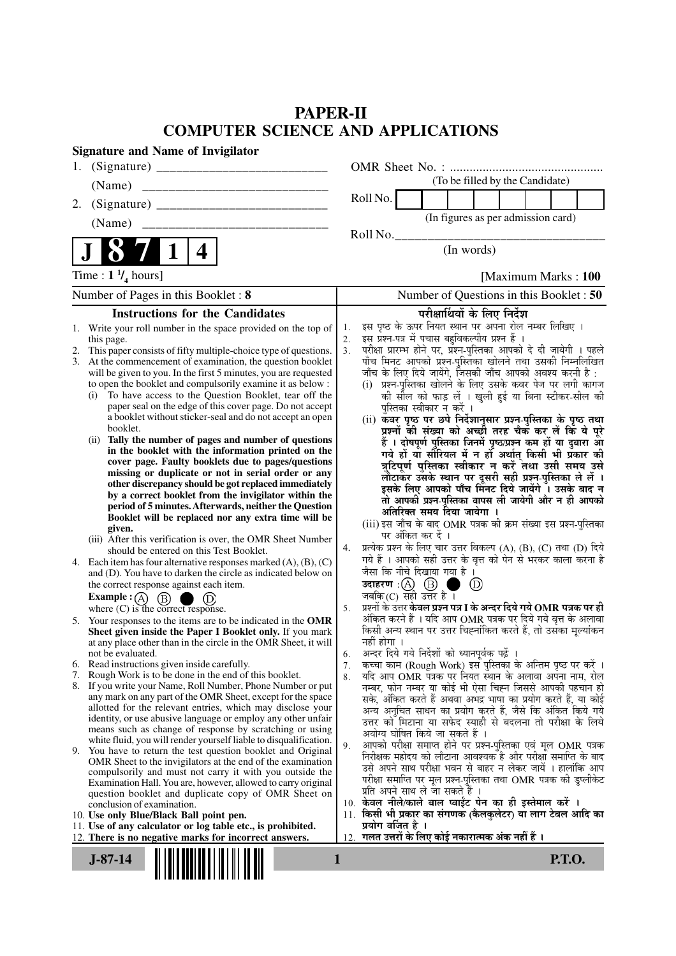## **PAPER-II COMPUTER SCIENCE AND APPLICATIONS**

| <b>Signature and Name of Invigilator</b>                                                                                       |                                                                                                                                      |
|--------------------------------------------------------------------------------------------------------------------------------|--------------------------------------------------------------------------------------------------------------------------------------|
| 1.                                                                                                                             |                                                                                                                                      |
| (Name)                                                                                                                         | (To be filled by the Candidate)                                                                                                      |
| 2.                                                                                                                             | Roll No.                                                                                                                             |
| (Name)                                                                                                                         | (In figures as per admission card)                                                                                                   |
|                                                                                                                                | Roll No.                                                                                                                             |
| 4                                                                                                                              | (In words)                                                                                                                           |
| Time : $1 \frac{1}{4}$ hours]                                                                                                  | [Maximum Marks: 100]                                                                                                                 |
| Number of Pages in this Booklet: 8                                                                                             | Number of Questions in this Booklet : 50                                                                                             |
| <b>Instructions for the Candidates</b>                                                                                         | परीक्षार्थियों के लिए निर्देश                                                                                                        |
| Write your roll number in the space provided on the top of<br>1.                                                               | इस पृष्ठ के ऊपर नियत स्थान पर अपना रोल नम्बर लिखिए ।<br>1.                                                                           |
| this page.                                                                                                                     | इस प्रश्न-पत्र में पचास बहुविकल्पीय प्रश्न हैं ।<br>2.                                                                               |
| This paper consists of fifty multiple-choice type of questions.<br>2.                                                          | परीक्षा प्रारम्भ होने पर, प्रश्न-पुस्तिका आपको दे दी जायेगी । पहले<br>3.<br>पाँच मिनट आपको प्रश्न-पुस्तिका खोलने तथा उसकी निम्नलिखित |
| 3. At the commencement of examination, the question booklet<br>will be given to you. In the first 5 minutes, you are requested | जाँच के लिए दिये जायेंगे, जिसकी जाँच आपको अवश्य करनी है :                                                                            |
| to open the booklet and compulsorily examine it as below :                                                                     | प्रश्न-पुस्तिका खोलने के लिए उसके कवर पेज पर लगी कागज<br>(i)                                                                         |
| To have access to the Question Booklet, tear off the<br>(i)                                                                    | की सील को फाड़ लें । खुली हुई या बिना स्टीकर-सील की                                                                                  |
| paper seal on the edge of this cover page. Do not accept                                                                       | पुस्तिका स्वीकार न करें ।                                                                                                            |
| a booklet without sticker-seal and do not accept an open<br>booklet.                                                           | (ii) कवर पृष्ठ पर छपे निर्देशानुसार प्रश्न-पुस्तिका के पृष्ठ तथा                                                                     |
| Tally the number of pages and number of questions<br>(i)                                                                       | प्रश्नों की संख्या को अच्छी तरह चैक कर लें कि ये पूरे<br>हैं । दोषपूर्ण पुस्तिका जिनमें पृष्ठ/प्रश्न कम हों या दुबारा आ              |
| in the booklet with the information printed on the                                                                             | गये हों या सीरियल में न हों अर्थात् किसी भी प्रकार की                                                                                |
| cover page. Faulty booklets due to pages/questions                                                                             | त्रुटिपूर्ण पुस्तिका स्वीकार न करें तथा उसी समय उसे                                                                                  |
| missing or duplicate or not in serial order or any<br>other discrepancy should be got replaced immediately                     | लौटाकर उसके स्थान पर दूसरी सही प्रश्न-पुस्तिका ले लें ।                                                                              |
| by a correct booklet from the invigilator within the                                                                           | इसके लिए आपको पाँच मिनट दिये जायेंगे । उसके बाद न                                                                                    |
| period of 5 minutes. Afterwards, neither the Question                                                                          | तो आपकी प्रश्न-पुस्तिका वापस ली जायेगी और न ही आपको                                                                                  |
| Booklet will be replaced nor any extra time will be                                                                            | अतिरिक्त समय दिया जायेगा<br>(iii) इस जाँच के बाद OMR पत्रक की क्रम संख्या इस प्रश्न-पुस्तिका                                         |
| given.                                                                                                                         | पर अंकित कर दें ।                                                                                                                    |
| (iii) After this verification is over, the OMR Sheet Number<br>should be entered on this Test Booklet.                         | प्रत्येक प्रश्न के लिए चार उत्तर विकल्प (A), (B), (C) तथा (D) दिये<br>4.                                                             |
| 4. Each item has four alternative responses marked $(A)$ , $(B)$ , $(C)$                                                       | गये हैं । आपको सही उत्तर के वृत्त को पेन से भरकर काला करना है                                                                        |
| and (D). You have to darken the circle as indicated below on                                                                   | जैसा कि नीचे दिखाया गया है।                                                                                                          |
| the correct response against each item.                                                                                        | उदाहरण: $(A)$ $(B)$ (<br>$^{\circledR}$<br>- 1                                                                                       |
| Example : $(A)$ $(B)$<br>(D)<br>. .                                                                                            | जबकि $(C)$ सही उत्तर है ।<br>प्रश्नों के उत्तर केवल प्रश्न पत्र I के अन्दर दिये गये OMR पत्रक पर ही                                  |
| where $(C)$ is the correct response.<br>5. Your responses to the items are to be indicated in the OMR                          | 5.<br>अंकित करने हैं । यदि आप OMR पत्रक पर दिये गये वृत्त के अलावा                                                                   |
| Sheet given inside the Paper I Booklet only. If you mark                                                                       | किसी अन्य स्थान पर उत्तर चिह्नांकित करते हैं, तो उसँका मूल्यांकन                                                                     |
| at any place other than in the circle in the OMR Sheet, it will                                                                | नहीं होगा ।                                                                                                                          |
| not be evaluated.                                                                                                              | अन्दर दिये गये निर्देशों को ध्यानपूर्वक पढ़ें ।<br>6.                                                                                |
| Read instructions given inside carefully.<br>6.<br>Rough Work is to be done in the end of this booklet.<br>7.                  | कच्चा काम (Rough Work) इस पुस्तिका के अन्तिम पृष्ठ पर करें ।<br>7.                                                                   |
| 8. If you write your Name, Roll Number, Phone Number or put                                                                    | यदि आप OMR पत्रक पर नियत स्थान के अलावा अपना नाम, रोल<br>8.<br>नम्बर, फोन नम्बर या कोई भी ऐसा चिह्न जिससे आपकी पहचान हो              |
| any mark on any part of the OMR Sheet, except for the space                                                                    | सके, अंकित करते हैं अथवा अभद्र भाषा का प्रयोग करते हैं, या कोई                                                                       |
| allotted for the relevant entries, which may disclose your                                                                     | अन्य अनुचित साधन का प्रयोग करते हैं, जैसे कि अंकित किये गये                                                                          |
| identity, or use abusive language or employ any other unfair<br>means such as change of response by scratching or using        | उत्तर को मिटाना या सफेद स्याही से बदलना तो परीक्षा के लिये                                                                           |
| white fluid, you will render yourself liable to disqualification.                                                              | अयोग्य घोषित किये जा सकते हैं ।                                                                                                      |
| 9. You have to return the test question booklet and Original                                                                   | आपको परीक्षा समाप्त होने पर प्रश्न-पुस्तिका एवं मूल OMR पत्रक<br>9.<br>निरीक्षक महोदय को लौटाना आवश्यक है और परीक्षा समाप्ति के बाद  |
| OMR Sheet to the invigilators at the end of the examination                                                                    | उसे अपने साथ परीक्षा भवन से बाहर न लेकर जायें । हालांकि आप                                                                           |
| compulsorily and must not carry it with you outside the<br>Examination Hall. You are, however, allowed to carry original       | परीक्षा समाप्ति पर मूल प्रश्न-पुस्तिका तथा OMR पत्रक की डुप्लीकेट                                                                    |
| question booklet and duplicate copy of OMR Sheet on                                                                            | प्रति अपने साथ ले जा सकते हैं ।                                                                                                      |
| conclusion of examination.                                                                                                     | 10. केवल नीले/काले बाल प्वाईंट पेन का ही इस्तेमाल करें ।                                                                             |
| 10. Use only Blue/Black Ball point pen.<br>11. Use of any calculator or log table etc., is prohibited.                         | किसी भी प्रकार का संगणक (कैलकुलेटर) या लाग टेबल आदि का<br>11.<br>प्रयोग वर्जित है ।                                                  |
| 12. There is no negative marks for incorrect answers.                                                                          | 12. गलत उत्तरों के लिए कोई नकारात्मक अंक नहीं हैं ।                                                                                  |
| $J-87-14$                                                                                                                      | 1<br><b>P.T.O.</b>                                                                                                                   |
|                                                                                                                                |                                                                                                                                      |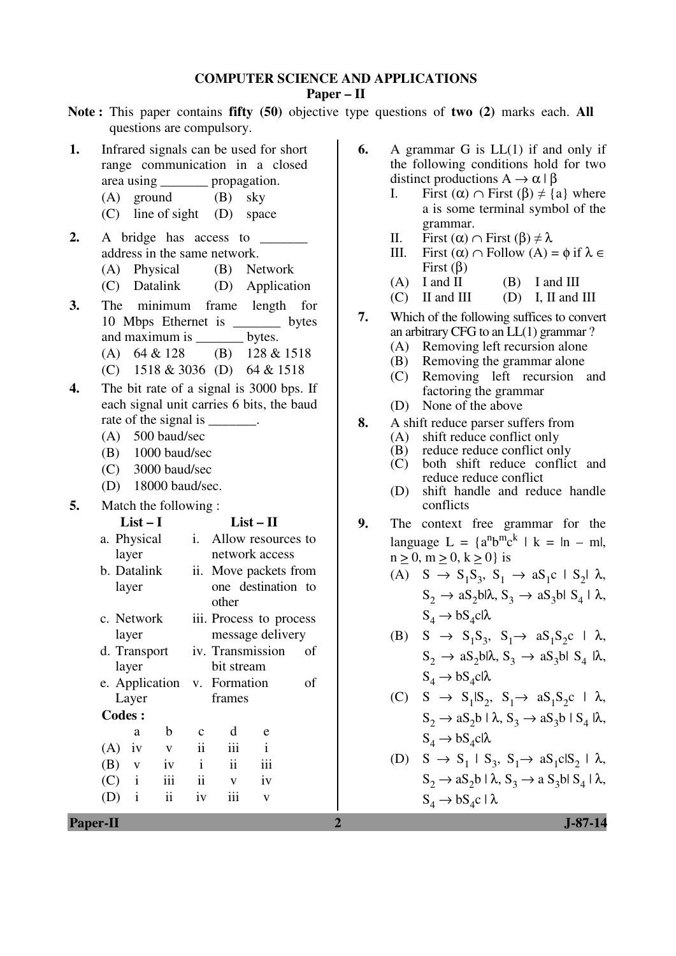## **COMPUTER SCIENCE AND APPLICATIONS**

**Paper – II** 

**Note :** This paper contains **fifty (50)** objective type questions of **two (2)** marks each. **All** questions are compulsory.

- **1.** Infrared signals can be used for short range communication in a closed area using \_\_\_\_\_\_\_ propagation.
	- (A) ground (B) sky
	- (C) line of sight (D) space
- 2. A bridge has access to address in the same network.
	- (A) Physical (B) Network
	- (C) Datalink (D) Application
- **3.** The minimum frame length for 10 Mbps Ethernet is \_\_\_\_\_\_\_ bytes and maximum is \_\_\_\_\_\_\_ bytes.
	- (A) 64 & 128 (B) 128 & 1518 (C) 1518 & 3036 (D) 64 & 1518
- **4.** The bit rate of a signal is 3000 bps. If each signal unit carries 6 bits, the baud
	- rate of the signal is
	- (A) 500 baud/sec
	- (B) 1000 baud/sec
	- (C) 3000 baud/sec
	- (D) 18000 baud/sec.
- **5.** Match the following :

## **List – I List – II**

| a. Physical   | layer                   |     | i.                           | Allow resources to<br>network access |                                             |    |
|---------------|-------------------------|-----|------------------------------|--------------------------------------|---------------------------------------------|----|
|               | b. Datalink<br>layer    |     | 11.                          | other                                | Move packets from<br>one destination to     |    |
| c. Network    | layer                   |     |                              |                                      | iii. Process to process<br>message delivery |    |
| d. Transport  | layer                   |     |                              | bit stream                           | iv. Transmission                            | оf |
|               | e. Application<br>Layer |     | v. Formation<br>оf<br>frames |                                      |                                             |    |
| <b>Codes:</b> |                         |     |                              |                                      |                                             |    |
|               | a                       | b   | $\mathbf c$                  | d                                    | e                                           |    |
| (A)           | 1V                      | V   | $\ddot{\mathbf{i}}$          | iii                                  | $\mathbf{i}$                                |    |
| (B)           | V                       | iv  | $\mathbf{i}$                 | $\ddot{\mathbf{i}}$                  | iii                                         |    |
| (C)           | $\mathbf{i}$            | iii | $\ddot{\mathbf{i}}$          | V                                    | iv                                          |    |
| (D)           | $\mathbf{i}$            | ii  | iv                           | iii                                  | $\mathbf{V}$                                |    |

- **6.** A grammar G is LL(1) if and only if the following conditions hold for two distinct productions  $A \to \alpha \mid \beta$ 
	- I. First  $(\alpha) \cap$  First  $(\beta) \neq \{a\}$  where a is some terminal symbol of the grammar.
	- II. First (α) ∩ First (β) ≠ λ
	- III. First (α) ∩ Follow (A) = φ if λ ∈ First (β)
	- $(A)$  I and II  $(B)$  I and III
	- $(C)$  II and III (D) I, II and III
- **7.** Which of the following suffices to convert an arbitrary CFG to an LL(1) grammar ?
	- (A) Removing left recursion alone
	- (B) Removing the grammar alone
	- (C) Removing left recursion and factoring the grammar
	- (D) None of the above
- **8.** A shift reduce parser suffers from
	- (A) shift reduce conflict only
	- (B) reduce reduce conflict only
	- (C) both shift reduce conflict and reduce reduce conflict
	- (D) shift handle and reduce handle conflicts
- **9.** The context free grammar for the language  $L = \{a^n b^m c^k \mid k = |n - m|,$  $n > 0$ ,  $m > 0$ ,  $k > 0$ } is
- (A)  $S \rightarrow S_1 S_3$ ,  $S_1 \rightarrow a S_1 c \mid S_2 \mid \lambda$ ,  $S_2 \rightarrow aS_2 b l \lambda$ ,  $S_3 \rightarrow aS_3 b l S_4 l \lambda$ ,  $S_4 \rightarrow bS_4$ cl $\lambda$
- (B) S  $\rightarrow$  S<sub>1</sub>S<sub>3</sub>, S<sub>1</sub> $\rightarrow$  aS<sub>1</sub>S<sub>2</sub>c |  $\lambda$ ,  $S_2 \rightarrow aS_2bl\lambda$ ,  $S_3 \rightarrow aS_3bl S_4 lb\lambda$ ,  $S_4 \rightarrow bS_4$ c|λ
	- (C)  $S \rightarrow S_1 | S_2, S_1 \rightarrow a S_1 S_2 c \perp \lambda$ ,  $S_2 \rightarrow aS_2b \perp \lambda$ ,  $S_3 \rightarrow aS_3b \perp S_4 \parallel \lambda$ ,  $S_4 \rightarrow bS_4$ cl $\lambda$

(D) 
$$
S \rightarrow S_1 \mid S_3, S_1 \rightarrow aS_1cIS_2 \mid \lambda,
$$
  
\n $S_2 \rightarrow aS_2b \mid \lambda, S_3 \rightarrow aS_3b \mid S_4 \mid \lambda,$   
\n $S_4 \rightarrow bS_4c \mid \lambda$ 

**Paper-II** J-87-14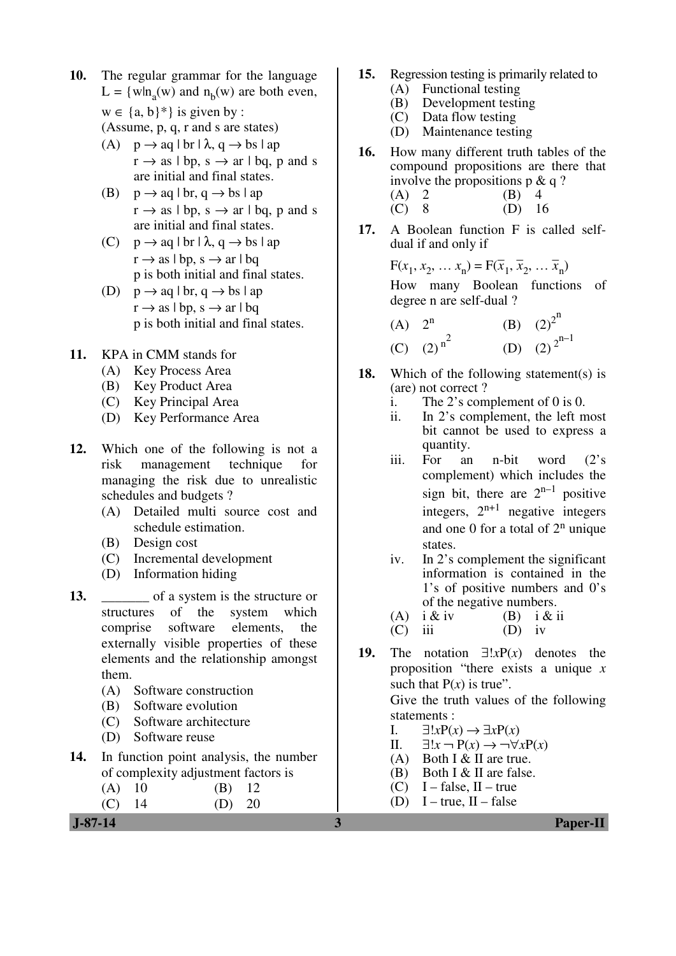- **10.** The regular grammar for the language  $L = \{wh_a(w) \text{ and } n_b(w) \text{ are both even,}$  $w \in \{a, b\}^*$  is given by : (Assume, p, q, r and s are states)
	- (A)  $p \rightarrow aa \mid br \mid \lambda, a \rightarrow bs \mid ab$  $r \rightarrow$  as | bp, s  $\rightarrow$  ar | bq, p and s are initial and final states.
	- (B)  $p \rightarrow aq \mid br, q \rightarrow bs \mid ap$  $r \rightarrow$  as | bp, s  $\rightarrow$  ar | bq, p and s are initial and final states.
	- (C)  $p \rightarrow aq \mid br \mid \lambda, q \rightarrow bs \mid ap$  $r \rightarrow$  as  $|bp, s \rightarrow ar \mid bq$ p is both initial and final states.
	- (D)  $p \rightarrow aq \mid br, q \rightarrow bs \mid ap$  $r \rightarrow$  as  $|bp, s \rightarrow ar \mid bq$ p is both initial and final states.
- **11.** KPA in CMM stands for
	- (A) Key Process Area
	- (B) Key Product Area
	- (C) Key Principal Area
	- (D) Key Performance Area
- **12.** Which one of the following is not a risk management technique for managing the risk due to unrealistic schedules and budgets ?
	- (A) Detailed multi source cost and schedule estimation.
	- (B) Design cost
	- (C) Incremental development
	- (D) Information hiding
- **13.** \_\_\_\_\_\_\_ of a system is the structure or structures of the system which comprise software elements, the externally visible properties of these elements and the relationship amongst them.
	- (A) Software construction
	- (B) Software evolution
	- (C) Software architecture
	- (D) Software reuse
- **14.** In function point analysis, the number of complexity adjustment factors is
	- (A) 10 (B) 12 (C) 14 (D) 20
- **15.** Regression testing is primarily related to (A) Functional testing
	- (B) Development testing
	- (C) Data flow testing
	- (D) Maintenance testing
- **16.** How many different truth tables of the compound propositions are there that involve the propositions  $p \& q$ ? (A) 2 (B) 4<br>(C) 8 (D) 1  $(D) 16$
- **17.** A Boolean function F is called selfdual if and only if

 $F(x_1, x_2, \ldots x_n) = F(\bar{x}_1,$  $\overline{x}_2, \ldots$  $\overline{x}_n$  How many Boolean functions of degree n are self-dual ?

(A) 
$$
2^n
$$
 (B)  $(2)^{2^n}$   
\n(C)  $(2)^{n^2}$  (D)  $(2)^{2^{n-1}}$ 

- **18.** Which of the following statement(s) is (are) not correct ?
	- i. The 2's complement of 0 is 0.
	- ii. In 2's complement, the left most bit cannot be used to express a quantity.
- iii. For an n-bit word (2's complement) which includes the sign bit, there are  $2^{n-1}$  positive integers,  $2^{n+1}$  negative integers and one  $0$  for a total of  $2<sup>n</sup>$  unique states.
	- iv. In 2's complement the significant information is contained in the 1's of positive numbers and 0's of the negative numbers.<br>i & iv (B) i & i
	- (A)  $i \& iv$  (B)  $i \& ii$
	- $(C)$  iii  $(D)$  iv
- **19.** The notation ∃!*x*P(*x*) denotes the proposition "there exists a unique *x* such that  $P(x)$  is true".

 Give the truth values of the following statements :

- I. ∃!*x*P(*x*) → ∃*x*P(*x*)
- II. ∃!*x* ¬ P(*x*) → ¬∀*x*P(*x*)
- (A) Both I  $&$  II are true.
- (B) Both I & II are false.
- (C) I false, II true
- (D) I true,  $II$  false

 **J-87-14 3 Paper-II**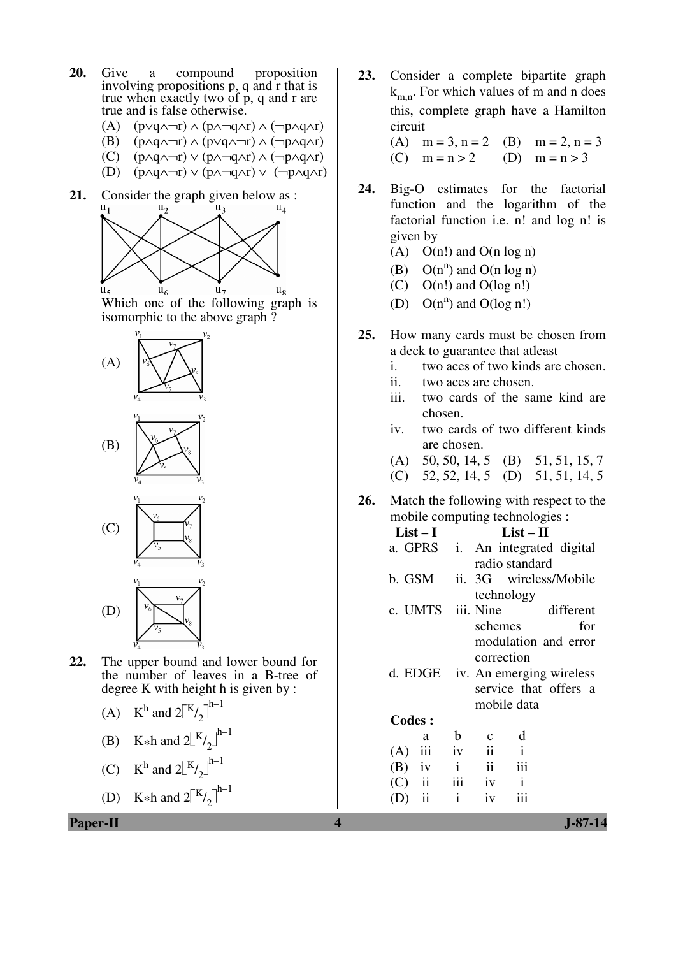- **20.** Give a compound proposition involving propositions p, q and r that is true when exactly two of p, q and r are true and is false otherwise.
	- (A) (p∨q∧¬r) ∧ (p∧¬q∧r) ∧ (¬p∧q∧r)
	- (B) (p∧q∧¬r) ∧ (p∨q∧¬r) ∧ (¬p∧q∧r)
	- (C) (p∧q∧¬r) ∨ (p∧¬q∧r) ∧ (¬p∧q∧r)
	- (D)  $(p \land q \land \neg r) \lor (p \land \neg q \land r) \lor (\neg p \land q \land r)$
- **21.** Consider the graph given below as :<br> $u_1$   $u_2$



Which one of the following graph is isomorphic to the above graph ?





**22.** The upper bound and lower bound for the number of leaves in a B-tree of degree K with height h is given by :

(A) 
$$
K^h
$$
 and  $2\binom{K}{2}^{h-1}$ 

(B) K\*h and  $2\lfloor K/2 \rfloor^{h-1}$ 

(C) 
$$
K^h
$$
 and  $2\lfloor K/2 \rfloor^{h-1}$ 

(D) K\*h and  $2\binom{K}{2}^{h-1}$ 

**Paper-II 4 J-87-14**

**23.** Consider a complete bipartite graph  $k_{m,n}$ . For which values of m and n does this, complete graph have a Hamilton circuit

(A)  $m = 3$ ,  $n = 2$  (B)  $m = 2$ ,  $n = 3$ (C)  $m = n > 2$  (D)  $m = n > 3$ 

- **24.** Big-O estimates for the factorial function and the logarithm of the factorial function i.e. n! and log n! is given by
	- (A)  $O(n!)$  and  $O(n \log n)$
- (B)  $O(n^n)$  and  $O(n \log n)$ 
	- (C)  $O(n!)$  and  $O(log n!)$
- (D)  $O(n^n)$  and  $O(\log n!)$
- **25.** How many cards must be chosen from a deck to guarantee that atleast
	- i. two aces of two kinds are chosen.
	- ii. two aces are chosen.
	- iii. two cards of the same kind are chosen.
	- iv. two cards of two different kinds are chosen.
	- (A) 50, 50, 14, 5 (B) 51, 51, 15, 7
	- (C) 52, 52, 14, 5 (D) 51, 51, 14, 5
- **26.** Match the following with respect to the mobile computing technologies :

| $List-I$        |              | $List-II$                               |
|-----------------|--------------|-----------------------------------------|
| a. GPRS         |              | i. An integrated digital                |
|                 |              | radio standard                          |
| b. GSM          | ii.          | 3G wireless/Mobile                      |
|                 |              | technology                              |
|                 |              | c. UMTS iii. Nine different             |
|                 |              | schemes<br>for                          |
|                 |              | modulation and error                    |
|                 |              | correction                              |
|                 |              | d. EDGE iv. An emerging wireless        |
|                 |              | service that offers a                   |
|                 |              | mobile data                             |
| <b>Codes:</b>   |              |                                         |
| a               | b            | d<br>$\mathbf c$                        |
| $(A)$ iii iv    |              | $\overline{\mathbf{u}}$<br>$\mathbf{i}$ |
| $(B)$ iv        |              | $i$ ii<br>iii                           |
| $(C)$ ii iii iv |              | $\mathbf{i}$                            |
| $(D)$ ii        | $\mathbf{i}$ | iii<br>iv                               |
|                 |              |                                         |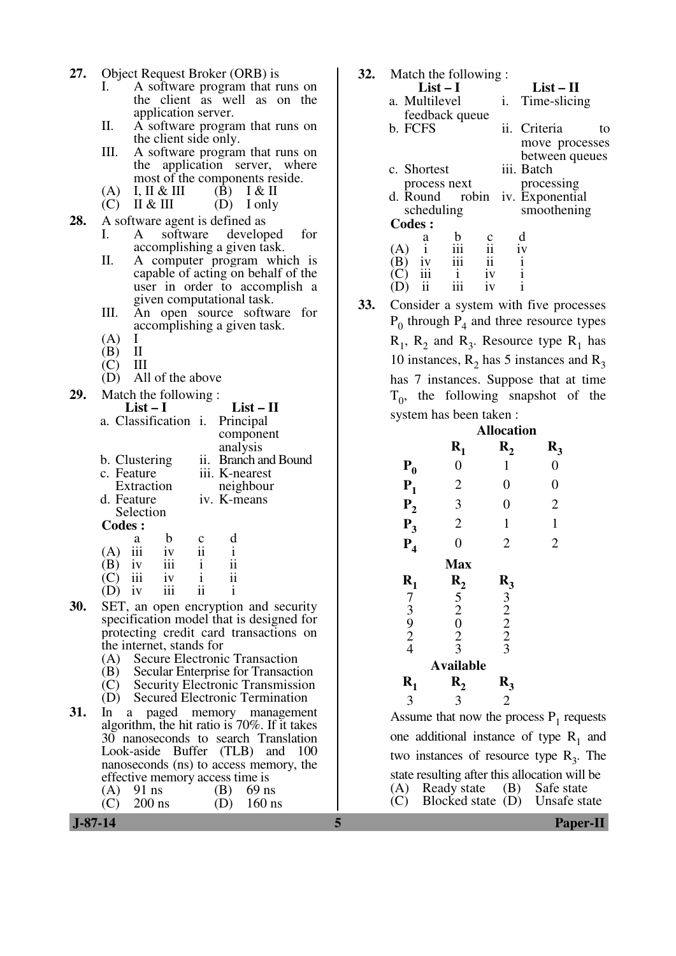- **27.** Object Request Broker (ORB) is
	- I. A software program that runs on the client as well as on the application server.
	- II. A software program that runs on the client side only.
	- III. A software program that runs on the application server, where most of the components reside.<br>I, II & III (B) I & II
	- (A) I, II & III (B) I & II<br>(C) II & III (D) I only
	- $(D)$  I only
- **28.** A software agent is defined as<br>I. A software develop
	- A software developed for accomplishing a given task.
	- II. A computer program which is capable of acting on behalf of the user in order to accomplish a given computational task.
	- III. An open source software for accomplishing a given task.
	- $(A)$  I<br> $(B)$  II
	- $\begin{array}{cc} (B) & II \\ (C) & III \end{array}$
	- $\binom{C}{D}$
	- All of the above

| 29. | Match the following:                                                                                            |  |                      |
|-----|-----------------------------------------------------------------------------------------------------------------|--|----------------------|
|     | $List-I$                                                                                                        |  | $List - II$          |
|     | a. Classification <i>i</i> . Principal                                                                          |  |                      |
|     |                                                                                                                 |  | component            |
|     |                                                                                                                 |  | analysis             |
|     | b. Clustering                                                                                                   |  | ii. Branch and Bound |
|     | c. Feature                                                                                                      |  | iii. K-nearest       |
|     | Extraction                                                                                                      |  | neighbour            |
|     | d. Feature                                                                                                      |  | iv. K-means          |
|     | Selection                                                                                                       |  |                      |
|     | Codes :                                                                                                         |  |                      |
|     | and the state of the state of the state of the state of the state of the state of the state of the state of the |  |                      |

|     | a   | h   | $\mathbf c$ | d  |
|-----|-----|-----|-------------|----|
| (A) | iii | iv  | ii          |    |
| (B) | iv  | iii | i           | ii |
| (C) | iii | iv  | ٠           | ii |
| (D) | iv  | iii | ij          |    |

- **30.** SET, an open encryption and security specification model that is designed for protecting credit card transactions on the internet, stands for
	- (A) Secure Electronic Transaction
	- (B) Secular Enterprise for Transaction
	- (C) Security Electronic Transmission
	- (D) Secured Electronic Termination
- **31.** In a paged memory management algorithm, the hit ratio is 70%. If it takes 30 nanoseconds to search Translation Look-aside Buffer (TLB) and 100 nanoseconds (ns) to access memory, the effective memory access time is<br>(A) 91 ns (B) 69 ns
	- (A) 91 ns (B) 69 ns<br>(C) 200 ns (D) 160 ns  $200$  ns

|     |                        | $List-I$            | $\sim$ $\sim$ $\sim$ $\sim$ | $List-II$                                         |    |  |  |
|-----|------------------------|---------------------|-----------------------------|---------------------------------------------------|----|--|--|
|     |                        | a. Multilevel       | i.                          | Time-slicing                                      |    |  |  |
|     |                        | feedback queue      |                             |                                                   |    |  |  |
|     | b. FCFS                |                     |                             | ii. Criteria                                      | to |  |  |
|     |                        |                     |                             | move processes                                    |    |  |  |
|     |                        |                     |                             | between queues                                    |    |  |  |
|     | c. Shortest            |                     |                             | iii. Batch                                        |    |  |  |
|     |                        | process next        |                             | processing                                        |    |  |  |
|     | d. Round               |                     |                             | robin iv. Exponential                             |    |  |  |
|     | <b>Codes:</b>          | scheduling          |                             | smoothening                                       |    |  |  |
|     |                        | b<br>a              | c                           | d                                                 |    |  |  |
|     | (A)                    | $\mathbf{i}$<br>iii | ii.                         | iv                                                |    |  |  |
|     | (B) iv<br>(C) iii      | iii                 | ii                          | $\frac{i}{1}$                                     |    |  |  |
|     |                        | $\mathbf{i}$        | iv                          |                                                   |    |  |  |
|     | (D)                    | ii<br>iii           | iv                          | $\mathbf{i}$                                      |    |  |  |
| 33. |                        |                     |                             | Consider a system with five processes             |    |  |  |
|     |                        |                     |                             | $P_0$ through $P_4$ and three resource types      |    |  |  |
|     |                        |                     |                             | $R_1$ , $R_2$ and $R_3$ . Resource type $R_1$ has |    |  |  |
|     |                        |                     |                             | 10 instances, $R_2$ has 5 instances and $R_3$     |    |  |  |
|     |                        |                     |                             | has 7 instances. Suppose that at time             |    |  |  |
|     |                        |                     |                             | $T_0$ , the following snapshot of the             |    |  |  |
|     | system has been taken: |                     |                             |                                                   |    |  |  |
|     |                        |                     | <b>Allocation</b>           |                                                   |    |  |  |
|     |                        | $R_1$               | $\mathbf{R}_{2}$            | $R_3$                                             |    |  |  |
|     | $P_0$                  | 0                   | 1                           | $\boldsymbol{0}$                                  |    |  |  |
|     | $P_1$                  | $\overline{c}$      | $\boldsymbol{0}$            | $\overline{0}$                                    |    |  |  |
|     | $P_2$                  | 3                   | $\overline{0}$              | $\overline{2}$                                    |    |  |  |
|     | $P_3$                  | $\boldsymbol{2}$    | 1                           | $\mathbf{1}$                                      |    |  |  |
|     | $P_4$                  | $\overline{0}$      | $\overline{2}$              | $\overline{2}$                                    |    |  |  |
|     |                        | <b>Max</b>          |                             |                                                   |    |  |  |
|     | $R_1$                  | $R_{2}$             | $R_3$                       |                                                   |    |  |  |
|     |                        |                     |                             |                                                   |    |  |  |

**32.** Match the following :

Assume that now the process  $P_1$  requests one additional instance of type  $R_1$  and two instances of resource type  $R_3$ . The state resulting after this allocation will be (A) Ready state (B) Safe state (A) Ready state (B) Safe state<br>(C) Blocked state (D) Unsafe state Blocked state  $(D)$ 

 $R_3$ 

7 5 3 3 2 2 9 0 2 2 2 2 4 3 3 **Available** 

 $\mathbf{R}$ 

3 3 2

 $R_1$ 

 **J-87-14 5 Paper-II**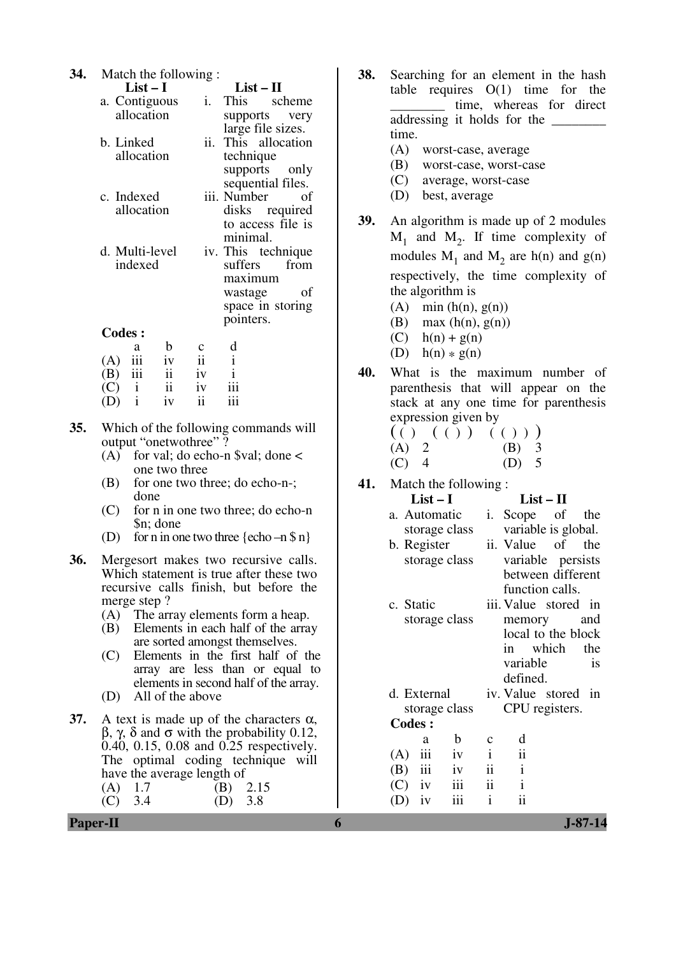| 34. | Match the following:<br>$List-I$<br>$List - II$<br>i.<br>a. Contiguous<br>This<br>scheme<br>allocation<br>supports<br>very<br>large file sizes.<br>ii. This allocation<br>b. Linked<br>allocation<br>technique<br>supports<br>only<br>sequential files.<br>iii. Number<br>c. Indexed<br>of<br>allocation<br>disks required<br>to access file is<br>minimal. | 38.<br>39. | Searching for an element in the hash<br>table requires $O(1)$ time for the<br>time, whereas for direct<br>addressing it holds for the<br>time.<br>(A)<br>worst-case, average<br>(B)<br>worst-case, worst-case<br>(C)<br>average, worst-case<br>best, average<br>(D)<br>An algorithm is made up of 2 modules<br>$M_1$ and $M_2$ . If time complexity of |
|-----|-------------------------------------------------------------------------------------------------------------------------------------------------------------------------------------------------------------------------------------------------------------------------------------------------------------------------------------------------------------|------------|--------------------------------------------------------------------------------------------------------------------------------------------------------------------------------------------------------------------------------------------------------------------------------------------------------------------------------------------------------|
|     | d. Multi-level<br>iv. This technique<br>suffers<br>from<br>indexed<br>maximum<br>of<br>wastage<br>space in storing<br>pointers.<br><b>Codes:</b>                                                                                                                                                                                                            |            | modules $M_1$ and $M_2$ are h(n) and g(n)<br>respectively, the time complexity of<br>the algorithm is<br>$(A)$ min $(h(n), g(n))$<br>max(h(n), g(n))<br>(B)                                                                                                                                                                                            |
|     | d<br>$\mathbf b$<br>$\mathbf c$<br>a<br>$\mathbf{i}$<br>ii<br>iii<br>iv<br>(A)<br>$\mathbf{i}$<br>$\mathbf{ii}$<br>iii<br>(B)<br>iv<br>iii<br>$\overline{\textbf{ii}}$<br>$\mathbf{i}$<br>(C)<br>iv<br>$\overline{\textbf{ii}}$<br>iii<br>$\mathbf{i}$<br>iv<br>(D)                                                                                         | 40.        | $h(n) + g(n)$<br>(C)<br>$(D)$ h(n) $*$ g(n)<br>What is the maximum number of<br>parenthesis that will appear on the<br>stack at any one time for parenthesis                                                                                                                                                                                           |
| 35. | Which of the following commands will<br>output "onetwothree"?<br>(A) for val; do echo-n \$val; done $\lt$<br>one two three                                                                                                                                                                                                                                  |            | expression given by<br>(( ) ( () ) ( () ))<br>$\overline{2}$<br>(A)<br>(B)<br>3<br>5<br>$\overline{4}$<br>(C)<br>(D)                                                                                                                                                                                                                                   |
|     | for one two three; do echo-n-;<br>(B)<br>done<br>(C)<br>for n in one two three; do echo-n<br>\$n; done<br>for n in one two three $\{echo - n \$ n\}<br>(D)                                                                                                                                                                                                  | 41.        | Match the following:<br>$List-I$<br>$List - II$<br>i. Scope<br>a. Automatic<br>of<br>the<br>variable is global.<br>storage class<br>b. Register<br>ii. Value<br>of<br>the                                                                                                                                                                              |
| 36. | Mergesort makes two recursive calls.<br>Which statement is true after these two<br>recursive calls finish, but before the<br>merge step?<br>The array elements form a heap.<br>(A)                                                                                                                                                                          |            | storage class<br>variable persists<br>between different<br>function calls.<br>c. Static<br>iii. Value stored in<br>storage class<br>memory<br>and                                                                                                                                                                                                      |
|     | Elements in each half of the array<br>(B)<br>are sorted amongst themselves.<br>Elements in the first half of the<br>(C)<br>array are less than or equal to<br>elements in second half of the array.<br>All of the above<br>(D)                                                                                                                              |            | local to the block<br>which<br>the<br>in<br>variable<br>is<br>defined.<br>iv. Value stored in<br>d. External                                                                                                                                                                                                                                           |
| 37. | A text is made up of the characters $\alpha$ ,<br>$\beta$ , $\gamma$ , $\delta$ and $\sigma$ with the probability 0.12,<br>0.40, 0.15, 0.08 and 0.25 respectively.<br>The optimal coding technique will<br>have the average length of<br>2.15<br>(A)<br>1.7<br>(B)<br>3.4<br>3.8<br>(C)<br>(D)                                                              |            | CPU registers.<br>storage class<br><b>Codes:</b><br>$\mathbf b$<br>d<br>a<br>$\mathbf C$<br>ii<br>iii<br>$\mathbf{i}$<br>(A)<br>iv<br>ii<br>iii<br>$\mathbf{i}$<br>(B)<br>iv<br>$\mathbf{ii}$<br>iii<br>$\mathbf{i}$<br>iv<br>(C)<br>$\rm ii$<br>$\mathbf{i}$<br>(D)<br>iv<br>111                                                                      |
|     | Paper-II                                                                                                                                                                                                                                                                                                                                                    | 6          | $J-87-14$                                                                                                                                                                                                                                                                                                                                              |

| <b>38.</b> Searching for an element in the hash |
|-------------------------------------------------|
| table requires $O(1)$ time for the              |
| time, whereas for direct                        |
| addressing it holds for the                     |
| time.                                           |
|                                                 |

- (A) worst-case, average
- (B) worst-case, worst-case
- (C) average, worst-case
- (D) best, average
- **39.** An algorithm is made up of 2 modules  $M_1$  and  $M_2$ . If time complexity of modules  $M_1$  and  $M_2$  are h(n) and g(n) respectively, the time complexity of the algorithm is
	- (A) min  $(h(n), g(n))$
	- (B) max  $(h(n), g(n))$
	- $(C)$  h(n) + g(n)
	- (D)  $h(n) * g(n)$
- **40.** What is the maximum number of parenthesis that will appear on the stack at any one time for parenthesis expression given by
	- ( ( ) ( ( ) ) ( ( ) ) )  $(A) 2$ (C) 4 (D) 5

| $List-I$      | $List-II$ |                     |                      |  |    |
|---------------|-----------|---------------------|----------------------|--|----|
| a. Automatic  |           | $i$ .               | Scope of the         |  |    |
| storage class |           |                     | variable is global.  |  |    |
| b. Register   |           |                     | ii. Value of the     |  |    |
| storage class |           |                     | variable persists    |  |    |
|               |           |                     | between different    |  |    |
|               |           |                     | function calls.      |  |    |
| c. Static     |           |                     | iii. Value stored in |  |    |
| storage class |           | memory and          |                      |  |    |
|               |           |                     | local to the block   |  |    |
|               |           |                     | in which the         |  |    |
|               |           |                     | variable             |  | is |
|               |           |                     | defined.             |  |    |
| d. External   |           |                     | iv. Value stored in  |  |    |
| storage class |           |                     | CPU registers.       |  |    |
| <b>Codes:</b> |           |                     |                      |  |    |
| a             | b         | $\mathbf c$         | d                    |  |    |
| $(A)$ iii     | iv        | $\mathbf{i}$        | $\ddot{\mathbf{i}}$  |  |    |
| $(B)$ iii     | iv        | $\ddot{\mathbf{i}}$ | $\mathbf{i}$         |  |    |
| $(C)$ iv iii  |           | $\ddot{\mathbf{i}}$ | $\mathbf{i}$         |  |    |
| iv<br>(D)     | iii       | $\mathbf{i}$        | $\overline{11}$      |  |    |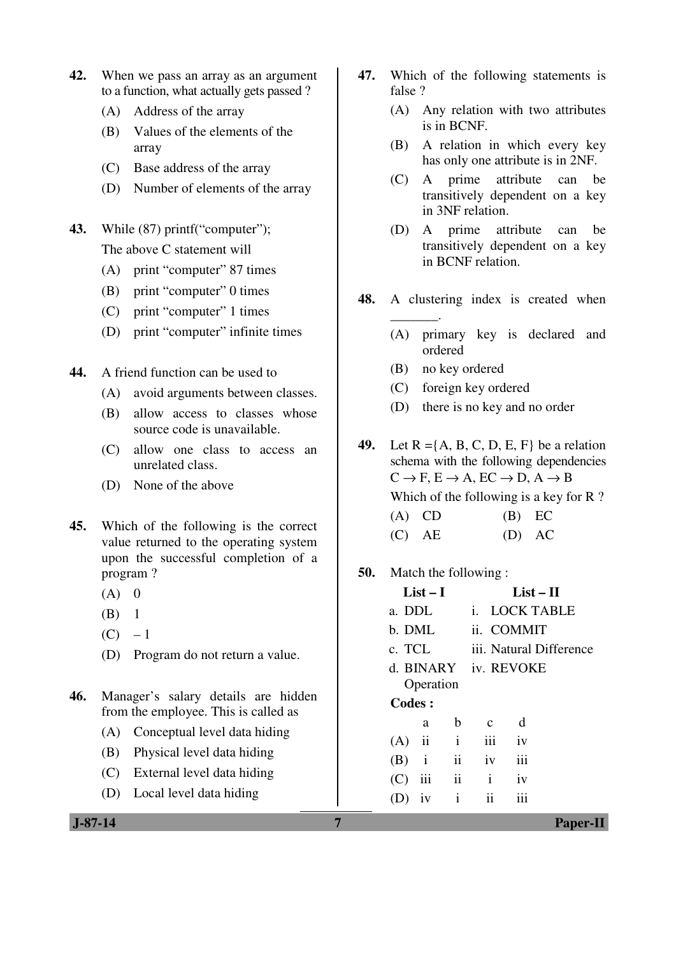- **42.** When we pass an array as an argument to a function, what actually gets passed ?
	- (A) Address of the array
	- (B) Values of the elements of the array
	- (C) Base address of the array
	- (D) Number of elements of the array
- **43.** While (87) printf("computer"); The above C statement will
	- (A) print "computer" 87 times
	- (B) print "computer" 0 times
	- (C) print "computer" 1 times
	- (D) print "computer" infinite times
- **44.** A friend function can be used to
	- (A) avoid arguments between classes.
	- (B) allow access to classes whose source code is unavailable.
	- (C) allow one class to access an unrelated class.
	- (D) None of the above
- **45.** Which of the following is the correct value returned to the operating system upon the successful completion of a program ?
	- $(A)$  0
	- $(B)$  1
	- $(C) 1$
	- (D) Program do not return a value.
- **46.** Manager's salary details are hidden from the employee. This is called as
	- (A) Conceptual level data hiding
	- (B) Physical level data hiding
	- (C) External level data hiding
	- (D) Local level data hiding
- **47.** Which of the following statements is false ?
	- (A) Any relation with two attributes is in BCNF.
	- (B) A relation in which every key has only one attribute is in 2NF.
	- (C) A prime attribute can be transitively dependent on a key in 3NF relation.
	- (D) A prime attribute can be transitively dependent on a key in BCNF relation.
- **48.** A clustering index is created when
	- (A) primary key is declared and ordered
	- (B) no key ordered

\_\_\_\_\_\_\_.

- (C) foreign key ordered
- (D) there is no key and no order

**49.** Let  $R = \{A, B, C, D, E, F\}$  be a relation schema with the following dependencies  $C \rightarrow F$ ,  $E \rightarrow A$ ,  $EC \rightarrow D$ ,  $A \rightarrow B$ Which of the following is a key for R?  $(A)$  CD  $(B)$  EC

- $(C)$  AE  $(D)$  AC
- **50.** Match the following :

| $List-I$             |           |                         | $List-II$               |            |  |  |
|----------------------|-----------|-------------------------|-------------------------|------------|--|--|
| a. DDL               |           |                         | i. LOCK TABLE           |            |  |  |
| b. DML               |           |                         |                         | ii. COMMIT |  |  |
| c. TCL               |           |                         | iii. Natural Difference |            |  |  |
| d. BINARY iv. REVOKE |           |                         |                         |            |  |  |
|                      | Operation |                         |                         |            |  |  |
| <b>Codes:</b>        |           |                         |                         |            |  |  |
|                      | a         | $\mathbf b$             | <sub>c</sub>            | d          |  |  |
|                      | $(A)$ ii  | $\mathbf{i}$            | $\overline{\text{iii}}$ | iv         |  |  |
|                      | $(B)$ i   | ii                      | iv                      | iii        |  |  |
| $(C)$ iii            |           | $\overline{\mathbf{u}}$ | $\rm i$                 | iv         |  |  |
| D)                   | iv        | $\mathbf{i}$            | $\mathbf{ii}$           | iii        |  |  |
|                      |           |                         |                         |            |  |  |

 **J-87-14 7 Paper-II**